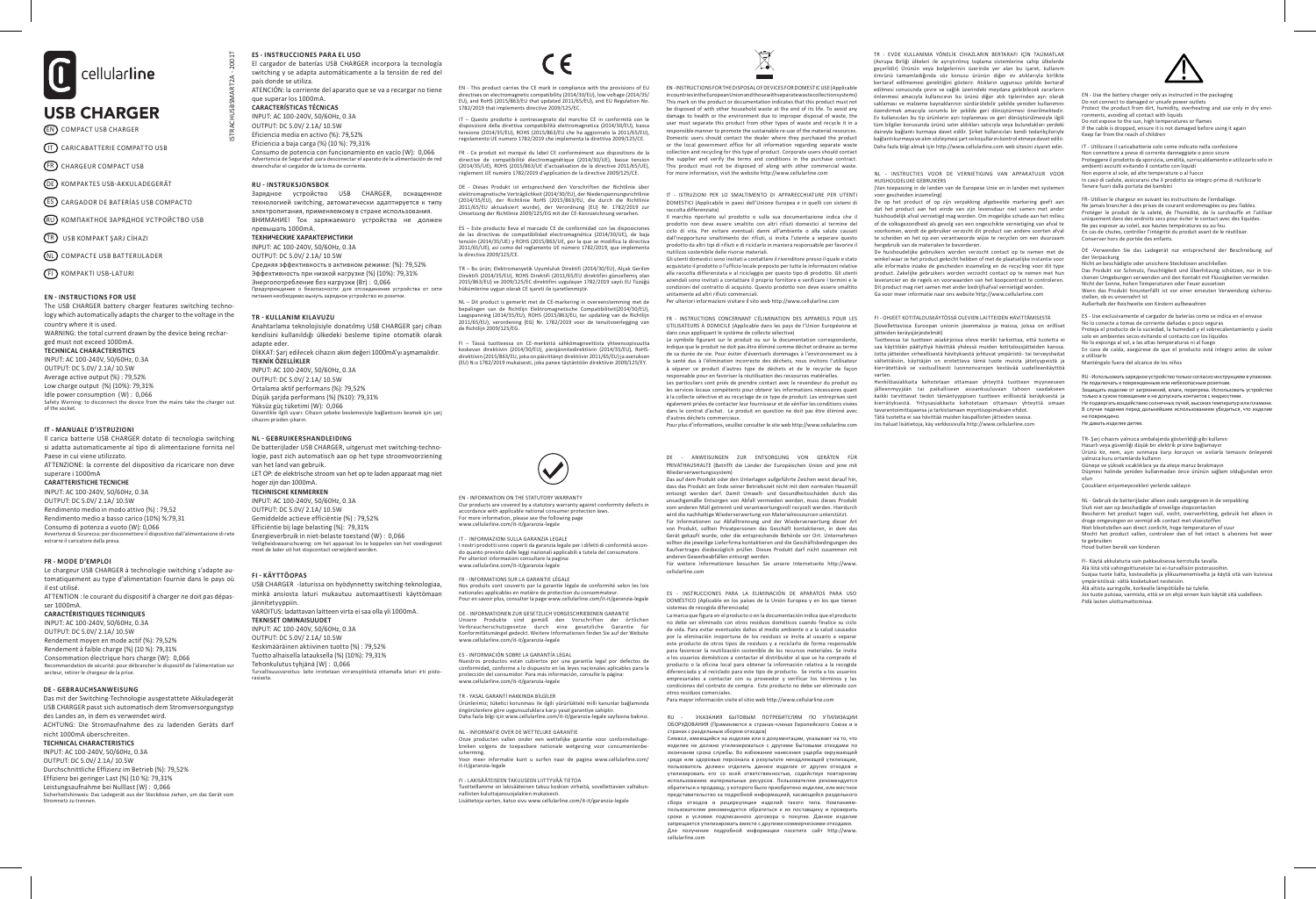

# EN COMPACT USB CHARGER

IT CARICABATTERIE COMPATTO USB

FR CHARGEUR COMPACT USB

**DE** KOMPAKTES USB-AKKULADEGERÄT

- ES CARGADOR DE BATERÍAS USB COMPACTO
- RU КОМПАКТНОЕ ЗАРЯДНОЕ УСТРОЙСТВО USB

TR USB KOMPAKT ŞARJ CİHAZI

NL COMPACTE USB BATTERIJLADER

FI KOMPAKTI USB-LATURI

**EN - INSTRUCTIONS FOR USE** The USB CHARGER battery charger features switching technology which automatically adapts the charger to the voltage in the country where it is used. WARNING: the total current drawn by the device being recharged must not exceed 1000mA. **TECHNICAL CHARACTERISTICS** INPUT: AC 100-240V, 50/60Hz, 0.3A OUTPUT: DC 5.0V/ 2.1A/ 10.5W Average active output (%) : 79,52%

Low charge output (%) (10%): 79,31% Idle power consumption (W) : 0,066 Safety Warning: to disconnect the device from the mains take the charger out of the socket.

#### **IT - MANUALE D'ISTRUZIONI**

Il carica batterie USB CHARGER dotato di tecnologia switching si adatta automaticamente al tipo di alimentazione fornita nel Paese in cui viene utilizzato. ATTENZIONE: la corrente del dispositivo da ricaricare non deve superare i 1000mA **CARATTERISTICHE TECNICHE**

INPUT: AC 100-240V, 50/60Hz, 0.3A OUTPUT: DC 5.0V/ 2.1A/ 10.5W Rendimento medio in modo attivo (%) : 79,52 Rendimento medio a basso carico (10%) %:79,31 Consumo di potenza a vuoto (W): 0,066 Avvertenza di Sicurezza: per disconnettere il dispositivo dall'alimentazione di rete estrarre il caricatore dalla presa.

#### **FR - MODE D'EMPLOI**

Le chargeur USB CHARGER à technologie switching s'adapte automatiquement au type d'alimentation fournie dans le pays où il est utilisé. ATTENTION : le courant du dispositif à charger ne doit pas dépas-

### ser 1000mA.

**CARACTÉRISTIQUES TECHNIQUES** INPUT: AC 100-240V, 50/60Hz, 0.3A OUTPUT: DC 5.0V/ 2.1A/ 10.5W

Rendement moyen en mode actif (%): 79,52% Rendement à faible charge (%) (10 %): 79,31% Consommation électrique hors charge (W): 0,066 Recommandation de sécurité: pour débrancher le dispositif de l'alimentation sur secteur, retirer le chargeur de la prise.

#### **DE - GEBRAUCHSANWEISUNG**

Das mit der Switching-Technologie ausgestattete Akkuladegerät USB CHARGER passt sich automatisch dem Stromversorgungstyp des Landes an, in dem es verwendet wird. ACHTUNG: Die Stromaufnahme des zu ladenden Geräts darf nicht 1000mA überschreiten.

# **TECHNICAL CHARACTERISTICS**

INPUT: AC 100-240V, 50/60Hz, 0.3A OUTPUT: DC 5.0V/ 2.1A/ 10.5W Durchschnittliche Effizienz im Betrieb (%): 79,52% Effizienz bei geringer Last (%) (10 %): 79,31% Leistungsaufnahme bei Nulllast (W) : 0,066 Sicherheitshinweis: Das Ladegerät aus der Steckdose ziehen, um das Gerät vom Stromnetz zu trennen.

**ES - INSTRUCCIONES PARA EL USO** El cargador de baterías USB CHARGER incorpora la tecnología switching y se adapta automáticamente a la tensión de red del país donde se utiliza. ATENCIÓN: la corriente del aparato que se va a recargar no tiene que superar los 1000mA. **CARACTERÍSTICAS TÉCNICAS** 

INPUT: AC 100-240V, 50/60Hz, 0.3A OUTPUT: DC 5.0V/ 2.1A/ 10.5W Eficiencia media en activo (%): 79,52% Eficiencia a baja carga (%) (10 %): 79,31% Consumo de potencia con funcionamiento en vacío (W): 0,066 .<br>Advertencia de Seguridad: para desconectar el aparato de la alime desenchufar el cargador de la toma de corriente.

#### **RU - INSTRUKSJONSBOK**

ISTRACHUSBSMART2A - 2001T

2001T

Зарядное устройство USB CHARGER, оснащенное технологией switching, автоматически адаптируется к типу электропитания, применяемому в стране использования. ВНИМАНИЕ! Ток заряжаемого устройства не должен превышать 1000mA. **ТЕХНИЧЕСКИЕ ХАРАКТЕРИСТИКИ**

## INPUT: AC 100-240V, 50/60Hz, 0.3A

OUTPUT: DC 5.0V/ 2.1A/ 10.5W Средняя эффективность в активном режиме: (%): 79,52% Эффективность при низкой нагрузке (%) (10%): 79,31% Энергопотребление без нагрузки (Вт) : 0,066 Предупреждение о безопасности: для отсоединения устройства от сети прания необходимо вынуть зарядное устройство из розетки.<br>питания необходимо вынуть зарядное устройство из розетки.

#### **TR - KULLANIM KILAVUZU**

Anahtarlama teknolojisiyle donatılmış USB CHARGER şarj cihazı kendisini kullanıldığı ülkedeki besleme tipine otomatik olarak adapte eder. DİKKAT: Şarj edilecek cihazın akım değeri 1000mA'yı aşmamalıdır. **TEKNİK ÖZELLİKLER** INPUT: AC 100-240V, 50/60Hz, 0.3A OUTPUT: DC 5.0V/ 2.1A/ 10.5W Ortalama aktif performans (%): 79,52% Düşük şarjda performans (%) (%10): 79,31% Yüksüz güç tüketimi (W): 0,066 Güvenlikle ilgili uyarı: Cihazın şebeke beslemesiyle bağlantısını kesmek için şarj cihazını prizden çıkarın.

#### **NL - GEBRUIKERSHANDLEIDING**

De batterijlader USB CHARGER, uitgerust met switching-technologie, past zich automatisch aan op het type stroomvoorziening van het land van gebruik. LET OP: de elektrische stroom van het op te laden apparaat mag niet

#### hoger zijn dan 1000mA. **TECHNISCHE KENMERKEN**

INPUT: AC 100-240V, 50/60Hz, 0.3A OUTPUT: DC 5.0V/ 2.1A/ 10.5W Gemiddelde actieve efficiëntie (%) : 79,52% Efficiëntie bij lage belasting (%): 79,31% Energieverbruik in niet-belaste toestand (W) : 0,066 Veiligheidswaarschuwing: om het apparaat los te koppelen van het voedingsnet moet de lader uit het stopcontact verwijderd worden.

#### **FI - KÄYTTÖOPAS**

USB CHARGER -laturissa on hyödynnetty switching-teknologiaa, minkä ansiosta laturi mukautuu automaattisesti käyttömaan jännitetyyppiin. VAROITUS: ladattavan laitteen virta ei saa olla yli 1000mA. **TEKNISET OMINAISUUDET** INPUT: AC 100-240V, 50/60Hz, 0.3A OUTPUT: DC 5.0V/ 2.1A/ 10.5W Keskimääräinen aktiivinen tuotto (%) : 79,52% Tuotto alhaisella latauksella (%) (10%): 79,31% Tehonkulutus tyhjänä (W) : 0,066 Turvallisuusvaroitus: laite irrotetaan virransyötöstä ottamalla laturi irti pistorasiasta.

EN - This product carries the CE mark in compliance with the provisions of EU directives on electromagnetic compatibility (2014/30/EU), low voltage (2014/35/ EU), and RoHS (2015/863/EU that updated 2011/65/EU), and EU Regulation No. 1782/2019 that implements directive 2009/125/EC.

IT – Questo prodotto è contrassegnato dal marchio CE in conformità con le disposizioni della direttiva compatibilità elettromagnetica (2014/30/EU), bassa tensione (2014/35/EU), ROHS (2015/863/EU che ha aggiornato la 2011/65/EU), regolamento UE numero 1782/2019 che implementa la direttiva 2009/125/CE.

FR - Ce produit est marqué du label CE conformément aux dispositions de la directive de compatibilité électromagnétique (2014/30/UE), basse tension (2014/35/UE), ROHS (2015/863/UE d'actualisation de la directive 2011/65/UE), règlement UE numéro 1782/2019 d'application de la directive 2009/125/CE.

DE - Dieses Produkt ist entsprechend den Vorschriften der Richtlinie über elektromagnetische Verträglichkeit (2014/30/EU), der Niederspannungsrichtlinie<br>(2014/35/EU), der Richtlinie RoHS (2015/863/EU, die durch die Richtlinie<br>2011/65/EU aktualisiert wurde), der Verordnung (EU) Nr. 1782/2019 zur<br>

ES – Este producto lleva el marcado CE de conformidad con las disposiciones de las directivas de compatibilidad electromagnética (2014/30/UE), de baja tensión (2014/35/UE) y ROHS (2015/863/UE, por la que se modifica la directiva 2011/65/UE), así como del reglamento UE número 1782/2019, que implementa la directiva 2009/125/CE.

TR – Bu ürün; Elektromanyetik Uyumluluk Direktifi (2014/30/EU), Alçak Gerilim<br>Direktifi (2014/35/EU), ROHS Direktifi (2011/65/EU direktifini güncellemiş olan<br>2015/863/EU) ve 2009/125/EC direktifini uygulayan 1782/2019 sayı hükümlerine uygun olarak CE işareti ile işaretlenmiştir.

NL – Dit product is gemerkt met de CE-markering in overeenstemming met de<br>bepalingen van de Richtlijn Elektromagnetische Compatibiliteit(2014/30/EU),<br>Laagspanning (2014/35/EU), ROHS (2015/863/EU, ter updating van de Ric 2011/65/EU), verordening (EG) Nr. 1782/2019 voor de tenuitvoerlegging van de Richtlijn 2009/125/EG.

FI – Tässä tuotteessa on CE-merkintä sähkömagneettista yhteensopivuutta<br>koskevan direktiivin (2014/30/EU), pienjännitedirektiivin (2014/35/EU), RoHS-<br>direktiivin(2015/863/EU, jokaon päivittänyt direktiivin 2011/65/EU) ja a

EN - INSTRUCTIONS FOR THE DISPOSAL OF DEVICES FOR DOMESTIC USE (Applicable in countries in the European Union and those with separate waste collection systems) This mark on the product or documentation indicates that this product must not be disposed of with other household waste at the end of its life. To avoid any damage to health or the environment due to improper disposal of waste, the user must separate this product from other types of waste and recycle it in a responsible manner to promote the sustainable re-use of the material resources. Domestic users should contact the dealer where they purchased the product or the local government office for all information regarding separate waste

collection and recycling for this type of product. Corporate users should contact the supplier and verify the terms and conditions in the purchase contract. This product must not be disposed of along with other commercial waste. For more information, visit the website http://www.cellularline.com

IT - ISTRUZIONI PER LO SMALTIMENTO DI APPARECCHIATURE PER UTENTI DOMESTICI (Applicabile in paesi dell'Unione Europea e in quelli con sistemi di

raccolta differenziata) Il marchio riportato sul prodotto o sulla sua documentazione indica che il prodotto non deve essere smaltito con altri rifiuti domestici al termine del ciclo di vita. Per evitare eventuali danni all'ambiente o alla salute causati dall'inopportuno smaltimento dei rifiuti, si invita l'utente a separare questo prodotto da altri tipi di rifiuti e di riciclarlo in maniera responsabile per favorire il riutilizzo sostenibile delle risorse materiali.

Gli utenti domestici sono invitati a contattare il rivenditore presso il quale e stato acquistato il prodotto o l'ufficio locale preposto per tutte le informazioni relative alla raccolta differenziata e al riciclaggio per questo tipo di prodotto. Gli utenti aziendali sono invitati a contattare il proprio fornitore e verificare I termini e le condizioni del contratto di acquisto. Questo prodotto non deve essere smaltito unitamente ad altri rifiuti commerciali.

Per ulteriori informazioni visitare il sito web http://www.cellularline.com

FR - INSTRUCTIONS CONCERNANT L'ÉLIMINATION DES APPAREILS POUR LES UTILISATEURS À DOMICILE (Applicable dans les pays de l'Union Européenne et dans ceux appliquant le système de collecte sélective) Le symbole figurant sur le produit ou sur la documentation correspondante indique que le produit ne doit pas être éliminé comme déchet ordinaire au terme de sa durée de vie. Pour éviter d'éventuels dommages à l'environnement ou à la santé dus à l'élimination incorrecte des déchets, nous invitons l'utilisateur à séparer ce produit d'autres type de déchets et de le recycler de façon responsable pour en favoriser la réutilisation des ressources matérielles.

Les particuliers sont priés de prendre contact avec le revendeur du produit ou<br>les services locaux compétents pour obtenir les informations nécessaires quant<br>à la collecte sélective et au recyclage de ce type de produit. L également priées de contacter leur fournisseur et de vérifier les conditions visées dans le contrat d'achat. Le produit en question ne doit pas être éliminé avec d'autres déchets commerciaux. Pour plus d'informations, veuillez consulter le site web http://www.cellularline.com

DE - ANWEISUNGEN ZUR ENTSORGUNG VON GERÄTEN FÜR PRIVATHAUSHALTE (Betrifft die Länder der Europäischen Union und jene mit Wiederverwertungssystem)

Das auf dem Produkt oder den Unterlagen aufgeführte Zeichen weist darauf hin, dass das Produkt am Ende seiner Betriebszeit nicht mit dem normalen Hausmüll entsorgt werden darf. Damit Umwelt- und Gesundheitsschäden durch das unsachgemäße Entsorgen von Abfall vermieden werden, muss dieses Produkt vom anderen Müll getrennt und verantwortungsvoll recycelt werden. Hierdurch wird die nachhaltige Wiederverwertung von Materialressourcen unterstützt. Für Informationen zur Abfalltrennung und der Wiederverwertung dieser Art von Produkt, sollten Privatpersonen das Geschäft kontaktieren, in dem das<br>Gerät gekauft wurde, oder die entsprechende Behörde vor Ort. Unternehmen<br>sollten die jeweilige Lieferfirma kontaktieren und die Geschäftsbedingungen Kaufvertrages diesbezüglich prüfen. Dieses Produkt darf nicht zusammen mit anderen Gewerbeabfällen entsorgt werden.

ES - INSTRUCCIONES PARA LA ELIMINACIÓN DE APARATOS PARA USO DOMÉSTICO (Aplicable en los países de la Unión Europea y en los que tienen sistemas de recogida diferenciada)

no debe ser eliminado con otros residuos dométicos cuando finalice su ciclo de vida. Para evitar eventuales daños al medio ambiente o a la salud causados por la eliminación inoportuna de los residuos se invita al usuario a separar este producto de otros tipos de residuos y a reciclarlo de forma responsable para favorecer la reutilización sostenible de los recursos materiales. Se invita a los usuarios domésticos a contactar el distribuidor al que se ha comprado el producto o la oficina local para obtener la información relativa a la recogida diferenciada y al reciclado para este tipo de producto. Se invita a los usuarios empresariales a contactar con su proveedor y verificar los términos y las condiciones del contrato de compra. Este producto no debe ser eliminado con otros residuos comerciales. Para mayor información visite el sitio web http://www.cellularline.com

RU - УКАЗАНИЯ БЫТОВЫМ ПОТРЕБИТЕЛЯМ ПО УТИЛИЗАЦИИ ОБОРУДОВАНИЯ (Применяются в странах-членах Европейского Союза и в странах с раздельным сбором отходов)

Символ, имеющийся на изделии или в документации, указывает на то, что изделие не должно утилизироваться с другими бытовыми отходами по изделие не должно утилизироваться с другими овновыми отходами по<br>окончании срока службы. Во избежание нанесения ущерба окружающей среде или здоровью персонала в результате ненадлежащей утилизации, пользователь должен отделить данное изделие от других отходов и утилизировать его со всей ответственностью, содействуя повторному использованию материальных ресурсов. Пользователям рекомендуется обратиться к продавцу, у которого было приобретено изделие, или местное представительство за подробной информацией, касающейся раздельного сбора отходов и рециркуляции изделий такого типа. Компаниям-пользователям рекомендуется обратиться к их поставщику и проверить сроки и условия подписанного договора о покупке. Данное изделие запрещается утилизировать вместе с другими коммерческими отходами. Для получения подробной информации посетите сайт http://www. cellularline.com

TR - EVDE KULLANIMA YÖNELİK CİHAZLARIN BERTARAFI İÇİN TALİMATLAR (Avrupa Birliği ülkeleri ile ayrıştırılmış toplama sistemlerine sahip ülkelerde geçerlidir) Ürünün veya belgelerinin üzerinde yer alan bu işaret, kullanım ömrünü tamamladığında söz konusu ürünün diğer ev atıklarıyla birlikte bertaraf edilmemesi gerektiğini gösterir. Atıkların uygunsuz şekilde bertaraf<br>edilmesi sonucunda çevre ve sağlık üzerindeki meydana gelebilecek zararların<br>önlenmesi amacıyla kullanıcının bu ürünü diğer atık tiplerinden ayr saklaması ve malzeme kaynaklarının sürdürülebilir şekilde yeniden kullanımını özendirmek amacıyla sorumlu bir şekilde geri dönüştürmesi önerilmektedir. Ev kullanıcıları bu tip ürünlerin ayrı toplanması ve geri dönüştürülmesiyle ilgili tüm bilgiler konusunda ürünü satın aldıkları satıcıyla veya bulundukları yerdeki daireyle bağlantı kurmaya davet edilir. Şirket kullanıcıları kendi tedarikçileriyle bağlantı kurmaya ve alım sözleşmesi şart ve koşullarını kontrol etmeye davet edilir. Daha fazla bilgi almak için http://www.cellularline.com web sitesini ziyaret edin.

NL - INSTRUCTIES VOOR DE VERNIETIGING VAN APPARATUUR VOOR HUISHOUDELIJKE GEBRUIKERS (Van toepassing in de landen van de Europese Unie en in landen met systemen voor gescheiden inzameling)

De op het product of op zijn verpakking afgebeelde markering geeft aan dat het product aan het einde van zijn levensduur niet samen met ander huishoudelijk afval vernietigd mag worden. Om mogelijke schade aan het milieu of de volksgezondheid als gevolg van een ongeschikte vernietiging van afval te voorkomen, wordt de gebruiker verzocht dit product van andere soorten afval te scheiden en het op een verantwoorde wijze te recyclen om een duurzaam hergebruik van de materialen te bevorderen.

De huishoudelijke gebruikers worden verzocht contact op te nemen met de winkel waar ze het product gekocht hebben of met de plaatselijke instantie voor alle informatie inzake de gescheiden inzameling en de recycling voor dit type product. Zakelijke gebruikers worden verzocht contact op te nemen met hun leverancier en de regels en voorwaarden van het koopcontract te controleren. Dit product mag niet samen met ander bedrijfsafval vernietigd worden. Ga voor meer informatie naar ons website http://www.cellularline.com

FI - OHJEET KOTITALOUSKÄYTÖSSÄ OLEVIEN LAITTEIDEN HÄVITTÄMISESTÄ (Sovellettavissa Euroopan unionin jäsenmaissa ja maissa, joissa on erilliset jätteiden keräysjärjestelmät)

Tuotteessa tai tuotteen asiakirjoissa oleva merkki tarkoittaa, että tuotetta ei saa käyttöiän päätyttyä hävittää yhdessä muiden kotitalousjätteiden kanssa. Jotta jätteiden virheellisestä hävityksestä johtuvat ympäristö- tai terveyshaitat vältettäisiin, käyttäjän on erotettava tämä tuote muista jätetyypeistä ja kierrätettävä se vastuullisesti luonnonvarojen kestävää uudelleenkäyttöä

varten. Henkilöasiakkaita kehotetaan ottamaan yhteyttä tuotteen myyneeseen jälleenmyyjään tai paikalliseen asiaankuuluvaan tahoon saadakseen kaikki tarvittavat tiedot tämäntyyppisen tuotteen erillisestä keräyksestä ja kierrätyksestä. Yritysasiakkaita kehotetaan ottamaan yhteyttä omaan tavarantoimittajaansa ja tarkistamaan myyntisopimuksen ehdot. Tätä tuotetta ei saa hävittää muiden kaupallisten jätteiden seassa. Jos haluat lisätietoja, käy verkkosivulla http://www.cellularline.com

EN - Use the battery charger only as instructed in the packaging Do not connect to damaged or unsafe power outlets Protect the product from dirt, humidity, overheating and use only in dry environments, avoiding all contact with liquids Do not expose to the sun, high temperatures or flames If the cable is dropped, ensure it is not damaged before using it again Keep far from the reach of children

IT - Utilizzare il caricabatterie solo come indicato nella confezione Non connettere a prese di corrente danneggiate o poco sicure Proteggere il prodotto da sporcizia, umidità, surriscaldamento e utilizzarlo solo in ambienti asciutti evitando il contatto con liquidi Non esporre al sole, ad alte temperature o al fuoco In caso di cadute, assicurarsi che il prodotto sia integro prima di riutilizzarlo Tenere fuori dalla portata dei bambini

FR- Utiliser le chargeur en suivant les instructions de l'emballage. Ne jamais brancher à des prises de courant endommagées ou peu fiables.<br>Protéger le produit de la saleté, de l'humidité, de la surchauffe et l'utiliser<br>uniquement dans des endroits secs pour éviter le contact avec des liqui Ne pas exposer au soleil, aux hautes températures ou au feu. En cas de chutes, contrôler l'intégrité du produit avant de le réutiliser. Conserver hors de portée des enfants.

DE -Verwenden Sie das Ladegerät nur entsprechend der Beschreibung auf

der Verpackung Nicht an beschädigte oder unsichere Steckdosen anschließen Das Produkt vor Schmutz, Feuchtigkeit und Überhitzung schützen, nur in trockenen Umgebungen verwenden und den Kontakt mit Flüssigkeiten vermeiden<br>Nicht der Sonne, hohen Temperaturen oder Feuer aussetzen<br>Wenn das Produkt hinunterfällt ist vor einer erneuten Verwendung sicherzu:<br>stellen, ob es unv

ES - Use exclusivamente el cargador de baterías como se indica en el envase No lo conecte a tomas de corriente dañadas o poco seguras Proteja el producto de la suciedad, la humedad y el sobrecalentamiento y úselo solo en ambientes secos evitando el contacto con los líquidos No lo exponga al sol, a las altas temperaturas ni al fuego En caso de caída, asegúrese de que el producto está íntegro antes de volver a utilizarlo Manténgalo fuera del alcance de los niños

RU - Использовать зарядное устройство только согласно инструкциям в упаковке. Не подключать к поврежденным или небезопасным розеткам. Защищать изделие от загрязнений, влаги, перегрева. Использовать устройство только в сухом помещении и не допускать контактов с жидкостями.<br>Не подвергать воздействию солнечных лучей, высоких температур или пламени.<br>В случае падения перед дальнейшим использованием убедиться, что изделие не повреждено. Не давать изделие детям.

TR- Şarj cihazını yalnızca ambalajında gösterildiği gibi kullanın Hasarlı veya güvenliği düşük bir elektrik prizine bağlamayın<br>Ürünü kir, nem, aşırı ısınmaya karşı koruyun ve sıvılarla temasını önleyerek<br>yalnızca kuru ortamlarda kullanın Güneşe ve yüksek sıcaklıklara ya da ateşe maruz bırakmayın Düşmesi halinde yeniden kullanmadan önce ürünün sağlam olduğundan emin olun Çocukların erişemeyecekleri yerlerde saklayın

NL - Gebruik de batterijlader alleen zoals aangegeven in de verpakking Sluit niet aan op beschadigde of onveilige stopcontacten<br>Bescherm het product tegen vuil, vocht, oververhitting, gebruik het alleen in<br>droge omgevingen en vermijd elk contact met vloeistoffen<br>Niet blootstellen aan direct z te gebruiken te gebruiken<br>Houd buiten bereik van kinderen

FI- Käytä akkulaturia vain pakkauksessa kerrotulla tavalla. Älä liitä sitä vahingoittuneisiin tai ei-turvallisiin pistorasioihin.<br>Suojaa tuote lialta, kosteudelta ja ylikuumenemiselta ja käytä sitä vain kuivissa<br>ympäristöissä: vältä kosketukset nesteisiin.<br>Älä altista auringolle, k Jos tuote putoaa, varmista, että se on ehjä ennen kuin käytät sitä uudelleen. Pidä lasten ulottumattomissa.



EN - INFORMATION ON THE STATUTORY WARRANTY Our products are covered by a statutory warranty against conformity defects in<br>accordance with applicable national consumer protection laws.<br>For more information, please see the following page www.cellularline.com/it-it/garanzia-legale

IT - INFORMAZIONI SULLA GARANZIA LEGALE I nostri prodotti sono coperti da garanzia legale per i difetti di conformità secondo quanto previsto dalle leggi nazionali applicabili a tutela del consumatore. Per ulteriori informazioni consultare la pagina: er unchommomium consulture iu p

FR - INFORMATIONS SUR LA GARANTIE LÉGALE Nos produits sont couverts par la garantie légale de conformité selon les lois nationales applicables en matière de protection du consommateur. Pour en savoir plus, consulter la page www.cellularline.com/it-it/garanzia-legale

DE - INFORMATIONEN ZUR GESETZLICH VORGESCHRIEBENEN GARANTIE Unsere Produkte sind gemäß den Vorschriften der örtlichen Verbraucherschutzgesetze durch eine gesetzliche Garantie für Konformitätsmängel gedeckt. Weitere Informationen finden Sie auf der Website www.cellularline.com/it-it/garanzia-legale

ES - NFORMACIÓN SOBRE LA GARANTÍA LEGAL<br>Ruestros productos están cubiertos por una garantía legal por defectos de<br>conformidad, conforme a lo dispuesto en las leyes nacionales aplicables para la<br>protección del consumidor. P

#### TR - YASAL GARANTİ HAKKINDA BİLGİLER

Ürünlerimiz; tüketici korunması ile ilgili yürürlükteki milli kanunlar bağlamında<br>öngörülenlere göre uygunsuzluklara karşı yasal garantiye sahiptir.<br>Daha fazla bilgi için www.cellularline.com/it-it/garanzia-legale sayfasın

NL - INFORMATIE OVER DE WETTELIJKE GARANTIE Onze producten vallen onder een wettelijke garantie voor conformiteitsge-breken volgens de toepasbare nationale wetgeving voor consumentenbescherming. Voor meer informatie kunt u surfen naar de pagina www.cellularline.com/

it-it/garanzia-legale

# FI - LAKISÄÄTEISEEN TAKUUSEEN LIITTYVÄÄ TIETOA

Tuotteillamme on lakisääteinen takuu koskien virheitä, sovellettavien valtakun-<br>nallisten kuluttajansuojalakien mukaisesti.<br>Lisätietoja varten, katso sivu www.cellularline.com/it-it/garanzia-legale

Für weitere Informationen besuchen Sie unsere Internetseite http://www. cellularline.com

La marca que figura en el producto o en la documentación indica que el producto